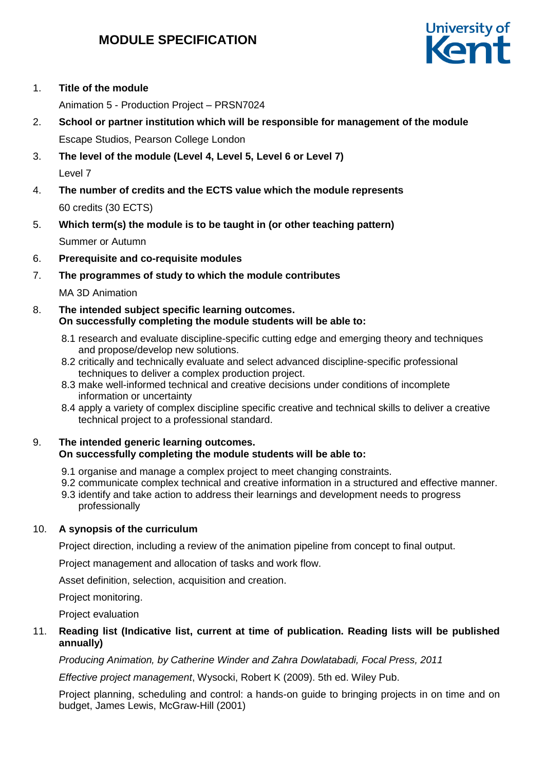# **MODULE SPECIFICATION**



## 1. **Title of the module**

Animation 5 - Production Project – PRSN7024

- 2. **School or partner institution which will be responsible for management of the module** Escape Studios, Pearson College London
- 3. **The level of the module (Level 4, Level 5, Level 6 or Level 7)** Level 7
- 4. **The number of credits and the ECTS value which the module represents**  60 credits (30 ECTS)
- 5. **Which term(s) the module is to be taught in (or other teaching pattern)** Summer or Autumn
- 6. **Prerequisite and co-requisite modules**
- 7. **The programmes of study to which the module contributes**

MA 3D Animation

- 8. **The intended subject specific learning outcomes. On successfully completing the module students will be able to:**
	- 8.1 research and evaluate discipline-specific cutting edge and emerging theory and techniques and propose/develop new solutions.
	- 8.2 critically and technically evaluate and select advanced discipline-specific professional techniques to deliver a complex production project.
	- 8.3 make well-informed technical and creative decisions under conditions of incomplete information or uncertainty
	- 8.4 apply a variety of complex discipline specific creative and technical skills to deliver a creative technical project to a professional standard.

#### 9. **The intended generic learning outcomes. On successfully completing the module students will be able to:**

- 9.1 organise and manage a complex project to meet changing constraints.
- 9.2 communicate complex technical and creative information in a structured and effective manner.
- 9.3 identify and take action to address their learnings and development needs to progress professionally

# 10. **A synopsis of the curriculum**

Project direction, including a review of the animation pipeline from concept to final output.

Project management and allocation of tasks and work flow.

Asset definition, selection, acquisition and creation.

Project monitoring.

Project evaluation

## 11. **Reading list (Indicative list, current at time of publication. Reading lists will be published annually)**

*Producing Animation, by Catherine Winder and Zahra Dowlatabadi, Focal Press, 2011*

*Effective project management*, Wysocki, Robert K (2009). 5th ed. Wiley Pub.

Project planning, scheduling and control: a hands-on guide to bringing projects in on time and on budget, James Lewis, McGraw-Hill (2001)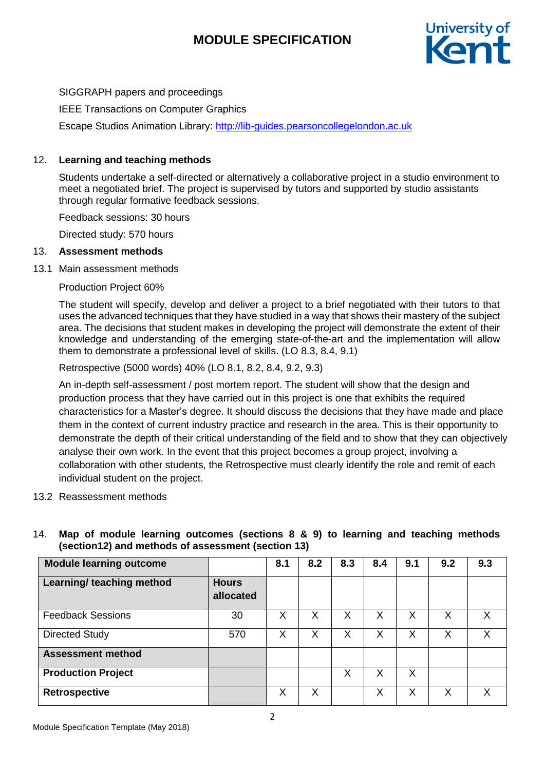# **MODULE SPECIFICATION**



## SIGGRAPH papers and proceedings

IEEE Transactions on Computer Graphics

Escape Studios Animation Library: [http://lib-guides.pearsoncollegelondon.ac.uk](https://urldefense.proofpoint.com/v2/url?u=http-3A__lib-2Dguides.pearsoncollegelondon.ac.uk&d=DwMFaQ&c=0YLnzTkWOdJlub_y7qAx8Q&r=SpDSvozb703YwkXZ2yDQYI1lZ4AMWS_xY3tIzXhDKRM&m=Wo7EOP_-8zVCHZXwF_I5sDe9ZB-grFmVDA3TdcQblIY&s=WU9Q4fPopBQT9LD44xKhkKjXmHBxHntpfyVFWcTzTk8&e=)

## 12. **Learning and teaching methods**

Students undertake a self-directed or alternatively a collaborative project in a studio environment to meet a negotiated brief. The project is supervised by tutors and supported by studio assistants through regular formative feedback sessions.

Feedback sessions: 30 hours

Directed study: 570 hours

## 13. **Assessment methods**

13.1 Main assessment methods

## Production Project 60%

The student will specify, develop and deliver a project to a brief negotiated with their tutors to that uses the advanced techniques that they have studied in a way that shows their mastery of the subject area. The decisions that student makes in developing the project will demonstrate the extent of their knowledge and understanding of the emerging state-of-the-art and the implementation will allow them to demonstrate a professional level of skills. (LO 8.3, 8.4, 9.1)

Retrospective (5000 words) 40% (LO 8.1, 8.2, 8.4, 9.2, 9.3)

An in-depth self-assessment / post mortem report. The student will show that the design and production process that they have carried out in this project is one that exhibits the required characteristics for a Master's degree. It should discuss the decisions that they have made and place them in the context of current industry practice and research in the area. This is their opportunity to demonstrate the depth of their critical understanding of the field and to show that they can objectively analyse their own work. In the event that this project becomes a group project, involving a collaboration with other students, the Retrospective must clearly identify the role and remit of each individual student on the project.

13.2 Reassessment methods

## 14. **Map of module learning outcomes (sections 8 & 9) to learning and teaching methods (section12) and methods of assessment (section 13)**

| <b>Module learning outcome</b> |                           | 8.1 | 8.2 | 8.3 | 8.4 | 9.1 | 9.2 | 9.3 |
|--------------------------------|---------------------------|-----|-----|-----|-----|-----|-----|-----|
| Learning/ teaching method      | <b>Hours</b><br>allocated |     |     |     |     |     |     |     |
| <b>Feedback Sessions</b>       | 30                        | x   | X   | Χ   | X   | X   | X   | Χ   |
| <b>Directed Study</b>          | 570                       | X   | X   | Χ   | X   | X   | X   | X   |
| <b>Assessment method</b>       |                           |     |     |     |     |     |     |     |
| <b>Production Project</b>      |                           |     |     | Χ   | X   | X   |     |     |
| Retrospective                  |                           | Х   | X   |     | Х   | X   | Х   | X   |